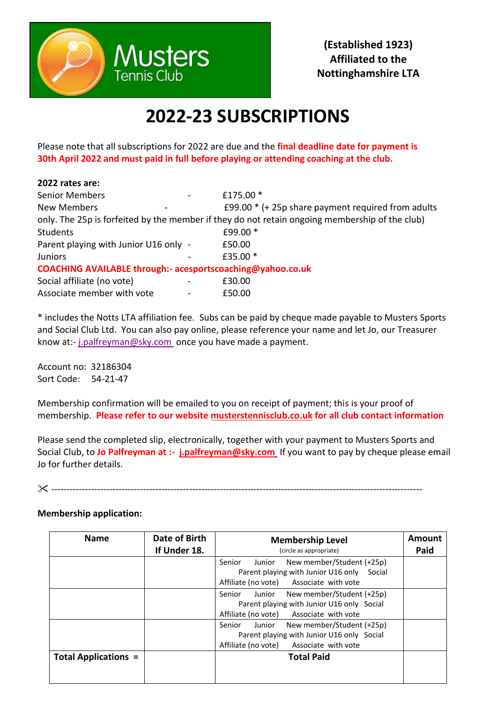

## **2022-23 SUBSCRIPTIONS**

Please note that all subscriptions for 2022 are due and the **final deadline date for payment is 30th April 2022 and must paid in full before playing or attending coaching at the club.**

| 2022 rates are:                                            |                                                                                                |
|------------------------------------------------------------|------------------------------------------------------------------------------------------------|
| <b>Senior Members</b>                                      | £175.00 *                                                                                      |
| New Members                                                | £99.00 $*$ (+ 25p share payment required from adults                                           |
|                                                            | only. The 25p is forfeited by the member if they do not retain ongoing membership of the club) |
| Students                                                   | £99.00 *                                                                                       |
| Parent playing with Junior U16 only -                      | £50.00                                                                                         |
| <b>Juniors</b>                                             | £35.00 *                                                                                       |
| COACHING AVAILABLE through:- acesportscoaching@yahoo.co.uk |                                                                                                |
| Social affiliate (no vote)                                 | £30.00                                                                                         |
| Associate member with vote                                 | £50.00                                                                                         |

\* includes the Notts LTA affiliation fee. Subs can be paid by cheque made payable to Musters Sports and Social Club Ltd. You can also pay online, please reference your name and let Jo, our Treasurer know at:- [j.palfreyman@sky.com](mailto:j.palfreyman@sky.com) once you have made a payment.

Account no: 32186304 Sort Code: 54-21-47

Membership confirmation will be emailed to you on receipt of payment; this is your proof of membership. **Please refer to our website [musterstennisclub.co.uk](https://urldefense.proofpoint.com/v2/url?u=http-3A__musterstennisclub.com&d=DwMGaQ&c=vFIsXp4NTuVIY_cuHtY4gQ&r=QqRyVnYsXc2ROJjfNnMsEHE7aa8QX38u8cr4GASObXQ&m=nstmnxp314pRvliUQl0_Ywi0U4jsCmGcBKClKQ4fdDc&s=Gj05jdRcdBuBKuOnWmNqJmVsz4503N7rDJq9RF7sEhc&e=) for all club contact information** 

Please send the completed slip, electronically, together with your payment to Musters Sports and Social Club, to **Jo Palfreyman at :- [j.palfreyman@sky.com](mailto:j.palfreyman@sky.com)** If you want to pay by cheque please email Jo for further details.

-------------------------------------------------------------------------------------------------------------------------

## **Membership application:**

| <b>Name</b>                 | Date of Birth<br>If Under 18. | <b>Membership Level</b><br>(circle as appropriate)                                                                                     | <b>Amount</b><br>Paid |
|-----------------------------|-------------------------------|----------------------------------------------------------------------------------------------------------------------------------------|-----------------------|
|                             |                               | New member/Student (+25p)<br>Senior<br>Junior<br>Parent playing with Junior U16 only Social<br>Affiliate (no vote) Associate with vote |                       |
|                             |                               | New member/Student (+25p)<br>Junior<br>Senior<br>Parent playing with Junior U16 only Social<br>Affiliate (no vote) Associate with vote |                       |
|                             |                               | Junior<br>New member/Student (+25p)<br>Senior<br>Parent playing with Junior U16 only Social<br>Affiliate (no vote) Associate with vote |                       |
| <b>Total Applications =</b> |                               | <b>Total Paid</b>                                                                                                                      |                       |